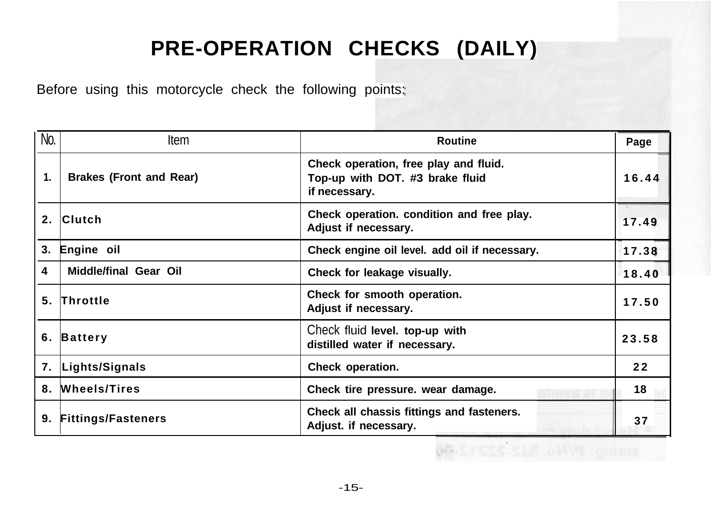# **PRE-OPERATION CHECKS (DAILY)**

Before using this motorcycle check the following points:

| No.            | Item                           | Routine                                                                                   | Page  |
|----------------|--------------------------------|-------------------------------------------------------------------------------------------|-------|
| 1.             | <b>Brakes (Front and Rear)</b> | Check operation, free play and fluid.<br>Top-up with DOT. #3 brake fluid<br>if necessary. | 16.44 |
| 2 <sup>2</sup> | <b>Clutch</b>                  | Check operation. condition and free play.<br>Adjust if necessary.                         | 17.49 |
| 3.             | Engine oil                     | Check engine oil level. add oil if necessary.                                             | 17.38 |
| 4              | Middle/final Gear Oil          | Check for leakage visually.                                                               | 18.40 |
| 5.             | Throttle                       | Check for smooth operation.<br>Adjust if necessary.                                       | 17.50 |
| 6.             | Battery                        | Check fluid level. top-up with<br>distilled water if necessary.                           | 23.58 |
| 7.             | Lights/Signals                 | Check operation.                                                                          | 22    |
| 8.             | <b>Wheels/Tires</b>            | Check tire pressure. wear damage.                                                         | 18    |
| 9.             | <b>Fittings/Fasteners</b>      | Check all chassis fittings and fasteners.<br>Adjust. if necessary.                        | 37    |

-15-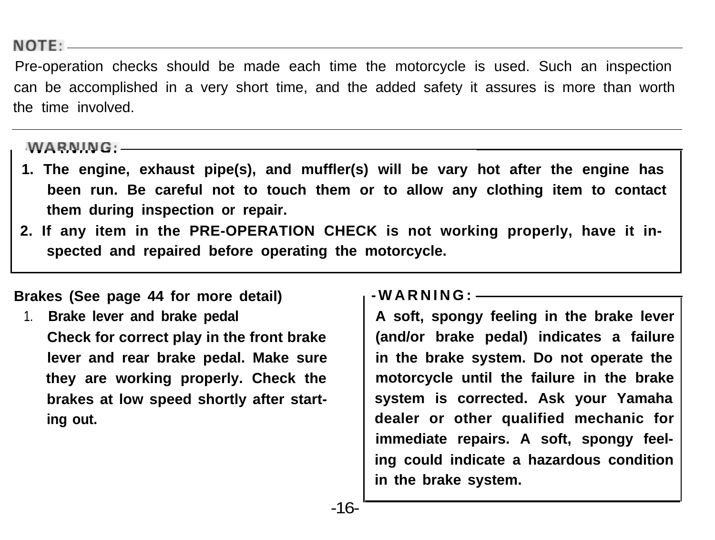NOTE:

Pre-operation checks should be made each time the motorcycle is used. Such an inspection can be accomplished in a very short time, and the added safety it assures is more than worth the time involved.

#### $WAPNING:$

- **1. The engine, exhaust pipe(s), and muffler(s) will be vary hot after the engine has been run. Be careful not to touch them or to allow any clothing item to contact them during inspection or repair.**
- **2. If any item in the PRE-OPERATION CHECK is not working properly, have it inspected and repaired before operating the motorcycle.**

#### **Brakes (See page 44 for more detail)**

1. **Brake lever and brake pedal Check for correct play in the front brake lever and rear brake pedal. Make sure they are working properly. Check the brakes at low speed shortly after starting out.**

#### **-WARNING:**

**A soft, spongy feeling in the brake lever (and/or brake pedal) indicates a failure in the brake system. Do not operate the motorcycle until the failure in the brake system is corrected. Ask your Yamaha dealer or other qualified mechanic for immediate repairs. A soft, spongy feeling could indicate a hazardous condition in the brake system.**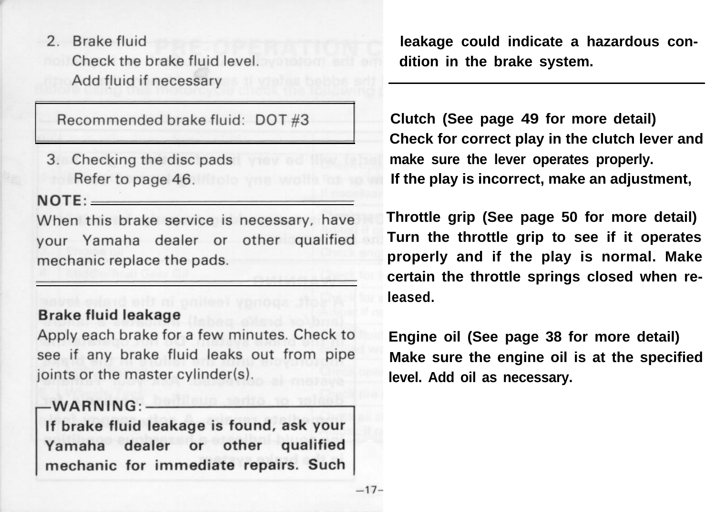2 Brake fluid Check the brake fluid level. Add fluid if necessary

Recommended brake fluid: DOT #3

3. Checking the disc pads Refer to page 46.

 $NOTE:$ 

When this brake service is necessary, have vour Yamaha dealer or other qualified mechanic replace the pads.

#### **Brake fluid leakage**

Apply each brake for a few minutes. Check to see if any brake fluid leaks out from pipe joints or the master cylinder(s).

## $-WARNING:$

If brake fluid leakage is found, ask your Yamaha dealer or other qualified mechanic for immediate repairs. Such **leakage could indicate a hazardous condition in the brake system.**

**Clutch (See page 49 for more detail) Check for correct play in the clutch lever and make sure the lever operates properly. If the play is incorrect, make an adjustment,**

**Throttle grip (See page 50 for more detail) Turn the throttle grip to see if it operates properly and if the play is normal. Make certain the throttle springs closed when released.**

**Engine oil (See page 38 for more detail) Make sure the engine oil is at the specified level. Add oil as necessary.**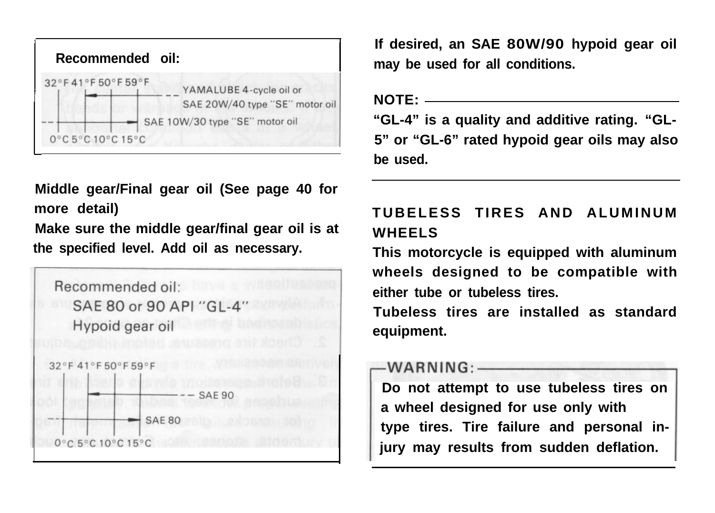| Recommended oil:                                             |                                                           |
|--------------------------------------------------------------|-----------------------------------------------------------|
| 32°F41°F50°F59°F                                             | YAMALUBE 4-cycle oil or<br>SAE 20W/40 type "SE" motor oil |
|                                                              | SAE 10W/30 type "SE" motor oil                            |
| $0^{\circ}$ C 5 $^{\circ}$ C 10 $^{\circ}$ C 15 $^{\circ}$ C |                                                           |

**Middle gear/Final gear oil (See page 40 for more detail)**

**Make sure the middle gear/final gear oil is at the specified level. Add oil as necessary.**



**If desired, an SAE 80W/90 hypoid gear oil may be used for all conditions.**

**NOTE:**

**"GL-4" is a quality and additive rating. "GL-5" or "GL-6" rated hypoid gear oils may also be used.**

# **TUBELESS TIRES AND ALUMINUM WHEELS**

**This motorcycle is equipped with aluminum wheels designed to be compatible with either tube or tubeless tires.**

**Tubeless tires are installed as standard equipment.**

#### 

**Do not attempt to use tubeless tires on** a wheel designed for use only with **type tires. Tire failure and personal injury may results from sudden deflation.**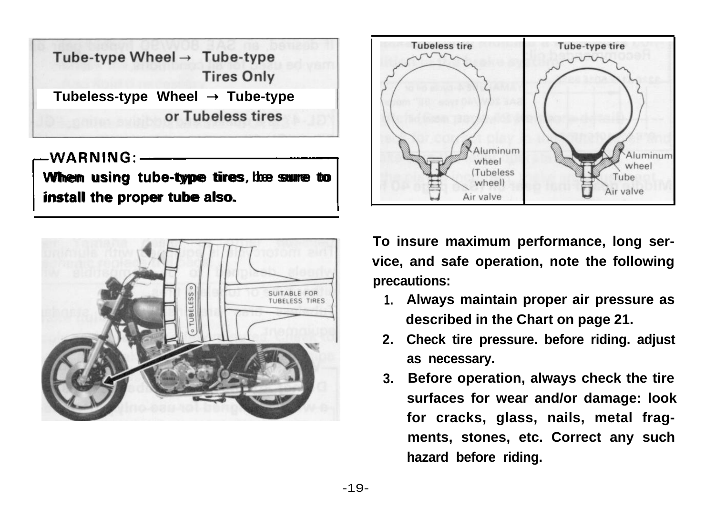Tube-type Wheel  $\rightarrow$  Tube-type **Tires Only** Tubeless-type Wheel  $\rightarrow$  Tube-type or Tubeless tires

**WARNING rWhen using tube-type tires, the sure to install the proper tube also. install the proper tube also.**





**To insure maximum performance, long service, and safe operation, note the following precautions:**

- **1. Always maintain proper air pressure as described in the Chart on page 21.**
- **2. Check tire pressure. before riding. adjust as necessary.**
- **3. Before operation, always check the tire surfaces for wear and/or damage: look for cracks, glass, nails, metal fragments, stones, etc. Correct any such hazard before riding.**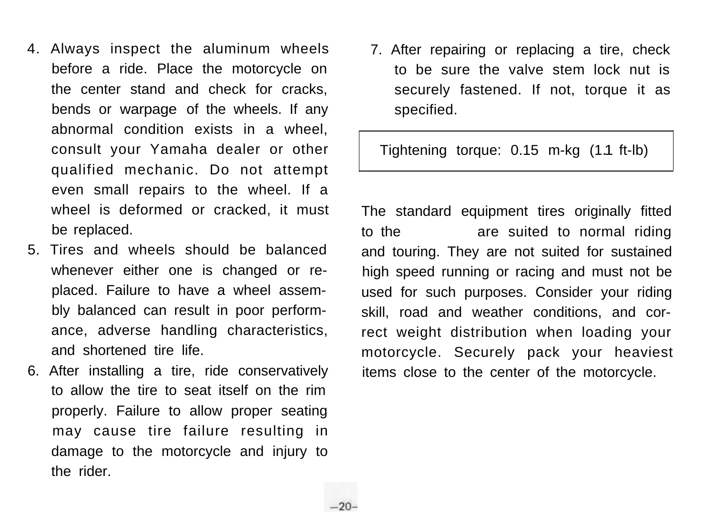- 4. Always inspect the aluminum wheels before a ride. Place the motorcycle on the center stand and check for cracks, bends or warpage of the wheels. If any abnormal condition exists in a wheel, consult your Yamaha dealer or other qualified mechanic. Do not attempt even small repairs to the wheel. If a wheel is deformed or cracked, it must be replaced.
- 5. Tires and wheels should be balanced whenever either one is changed or replaced. Failure to have a wheel assembly balanced can result in poor performance, adverse handling characteristics, and shortened tire life.
- 6. After installing a tire, ride conservatively to allow the tire to seat itself on the rim properly. Failure to allow proper seating may cause tire failure resulting in damage to the motorcycle and injury to the rider.

7. After repairing or replacing a tire, check to be sure the valve stem lock nut is securely fastened. If not, torque it as specified.

Tightening torque: 0.15 m-kg (1.1 ft-lb)

The standard equipment tires originally fitted to the are suited to normal riding and touring. They are not suited for sustained high speed running or racing and must not be used for such purposes. Consider your riding skill, road and weather conditions, and correct weight distribution when loading your motorcycle. Securely pack your heaviest items close to the center of the motorcycle.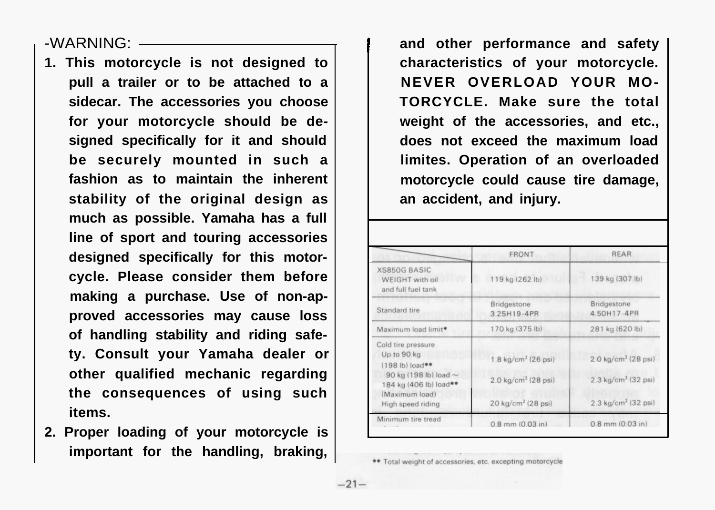-WARNING:

- **1. This motorcycle is not designed to pull a trailer or to be attached to a sidecar. The accessories you choose for your motorcycle should be designed specifically for it and should be securely mounted in such a fashion as to maintain the inherent stability of the original design as much as possible. Yamaha has a full line of sport and touring accessories designed specifically for this motorcycle. Please consider them before making a purchase. Use of non-approved accessories may cause loss of handling stability and riding safety. Consult your Yamaha dealer or other qualified mechanic regarding the consequences of using such items.**
- **2. Proper loading of your motorcycle is important for the handling, braking,**

and other performance and safety **characteristics of your motorcycle. NEVER OVERLOAD YOUR MO-TORCYCLE. Make sure the total weight of the accessories, and etc., does not exceed the maximum load limites. Operation of an overloaded motorcycle could cause tire damage, an accident, and injury.**

|                                                                                    | <b>FRONT</b>                                                            | <b>REAR</b>                                                                      |
|------------------------------------------------------------------------------------|-------------------------------------------------------------------------|----------------------------------------------------------------------------------|
| XS850G BASIC<br>WEIGHT with oil<br>and full fuel tank                              | 119 kg (262 lb)                                                         | 139 kg (307 lb)                                                                  |
| Standard tire                                                                      | <b>Bridgestone</b><br>3.25H19-4PR                                       | Bridgestone<br>4.50H17-4PR                                                       |
| Maximum load limit*                                                                | 170 kg (375 lb)                                                         | 281 kg (620 lb)                                                                  |
| Cold tire pressure<br>Up to 90 kg<br>(198 lb) load**<br>90 kg (198 lb) load $\sim$ | $1.8 \text{ kg/cm}^2 (26 \text{ psi})$                                  | $2.0 \text{ kg/cm}^2 (28 \text{ psi})$<br>$2.3 \text{ kg/cm}^2 (32 \text{ psi})$ |
| 184 kg (406 lb) load**<br>(Maximum load)<br>High speed riding                      | $2.0 \text{ kg/cm}^2$ (28 psi)<br>$20 \text{ kg/cm}^2 (28 \text{ psi})$ | $2.3 \text{ kg/cm}^2 (32 \text{ psi})$                                           |
| Minimum tire tread                                                                 | $0.8$ mm $(0.03$ in)                                                    | $0.8$ mm $(0.03$ in)                                                             |

Total weight of accessories, etc. excepting motorcycle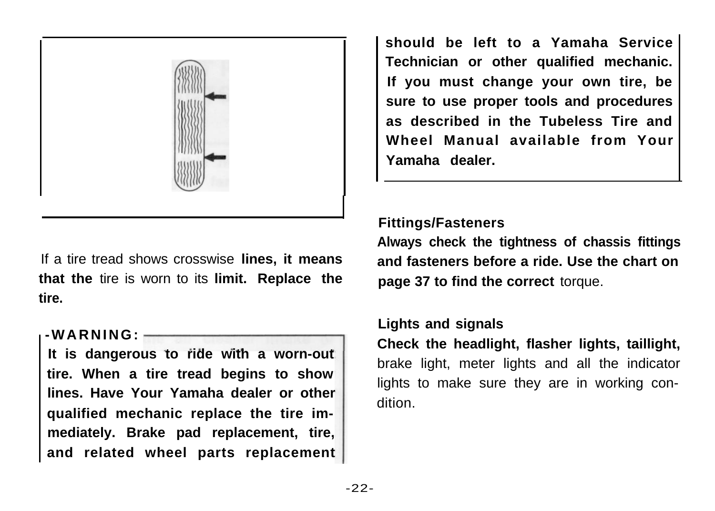

If a tire tread shows crosswise **lines, it means that the** tire is worn to its **limit. Replace the tire.**

#### **-WARNING:**

**It is dangerous to ride with a worn-out tire. When a tire tread begins to show lines. Have Your Yamaha dealer or other qualified mechanic replace the tire immediately. Brake pad replacement, tire, and related wheel parts replacement** **should be left to a Yamaha Service Technician or other qualified mechanic. If you must change your own tire, be sure to use proper tools and procedures as described in the Tubeless Tire and Wheel Manual available from Your Yamaha dealer.**

#### **Fittings/Fasteners**

**Always check the tightness of chassis fittings and fasteners before a ride. Use the chart on page 37 to find the correct** torque.

### **Lights and signals**

**Check the headlight, flasher lights, taillight,** brake light, meter lights and all the indicator lights to make sure they are in working condition.